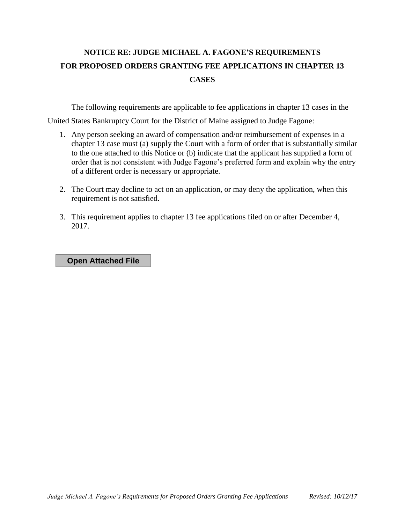## **NOTICE RE: JUDGE MICHAEL A. FAGONE'S REQUIREMENTS FOR PROPOSED ORDERS GRANTING FEE APPLICATIONS IN CHAPTER 13 CASES**

The following requirements are applicable to fee applications in chapter 13 cases in the

United States Bankruptcy Court for the District of Maine assigned to Judge Fagone:

- 1. Any person seeking an award of compensation and/or reimbursement of expenses in a chapter 13 case must (a) supply the Court with a form of order that is substantially similar to the one attached to this Notice or (b) indicate that the applicant has supplied a form of order that is not consistent with Judge Fagone's preferred form and explain why the entry of a different order is necessary or appropriate.
- 2. The Court may decline to act on an application, or may deny the application, when this requirement is not satisfied.
- 3. This requirement applies to chapter 13 fee applications filed on or after December 4, 2017.

**Open Attached File**